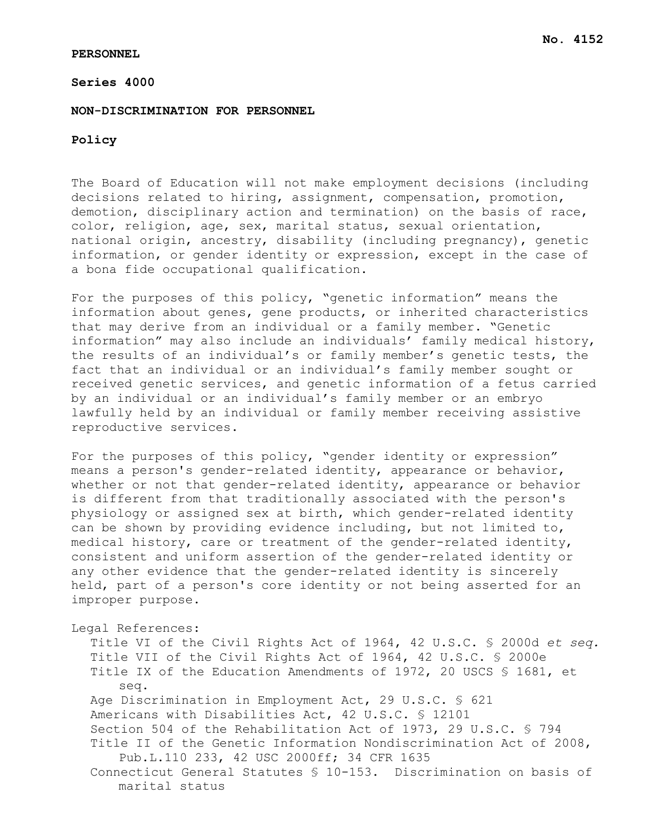#### **PERSONNEL**

### **Series 4000**

#### **NON-DISCRIMINATION FOR PERSONNEL**

## **Policy**

The Board of Education will not make employment decisions (including decisions related to hiring, assignment, compensation, promotion, demotion, disciplinary action and termination) on the basis of race, color, religion, age, sex, marital status, sexual orientation, national origin, ancestry, disability (including pregnancy), genetic information, or gender identity or expression, except in the case of a bona fide occupational qualification.

For the purposes of this policy, "genetic information" means the information about genes, gene products, or inherited characteristics that may derive from an individual or a family member. "Genetic information" may also include an individuals' family medical history, the results of an individual's or family member's genetic tests, the fact that an individual or an individual's family member sought or received genetic services, and genetic information of a fetus carried by an individual or an individual's family member or an embryo lawfully held by an individual or family member receiving assistive reproductive services.

For the purposes of this policy, "gender identity or expression" means a person's gender-related identity, appearance or behavior, whether or not that gender-related identity, appearance or behavior is different from that traditionally associated with the person's physiology or assigned sex at birth, which gender-related identity can be shown by providing evidence including, but not limited to, medical history, care or treatment of the gender-related identity, consistent and uniform assertion of the gender-related identity or any other evidence that the gender-related identity is sincerely held, part of a person's core identity or not being asserted for an improper purpose.

Legal References:

Title VI of the Civil Rights Act of 1964, 42 U.S.C. § 2000d *et seq.* Title VII of the Civil Rights Act of 1964, 42 U.S.C. § 2000e Title IX of the Education Amendments of 1972, 20 USCS § 1681, et seq. Age Discrimination in Employment Act, 29 U.S.C. § 621 Americans with Disabilities Act, 42 U.S.C. § 12101 Section 504 of the Rehabilitation Act of 1973, 29 U.S.C. § 794 Title II of the Genetic Information Nondiscrimination Act of 2008, Pub.L.110 233, 42 USC 2000ff; 34 CFR 1635 Connecticut General Statutes § 10-153. Discrimination on basis of marital status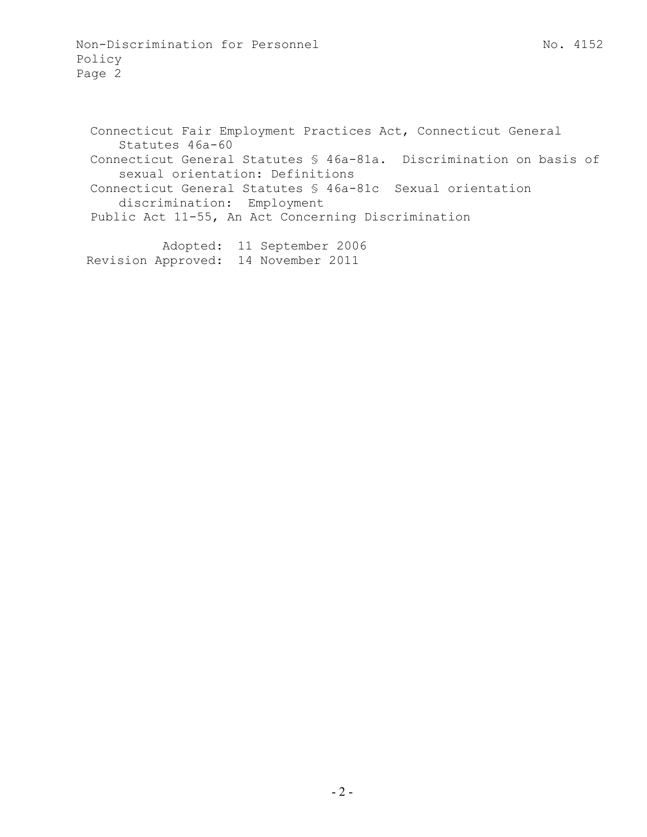Non-Discrimination for Personnel No. 4152 Policy Page 2

Connecticut Fair Employment Practices Act, Connecticut General Statutes 46a-60 Connecticut General Statutes § 46a-81a. Discrimination on basis of sexual orientation: Definitions Connecticut General Statutes § 46a-81c Sexual orientation discrimination: Employment Public Act 11-55, An Act Concerning Discrimination

Adopted: 11 September 2006 Revision Approved: 14 November 2011